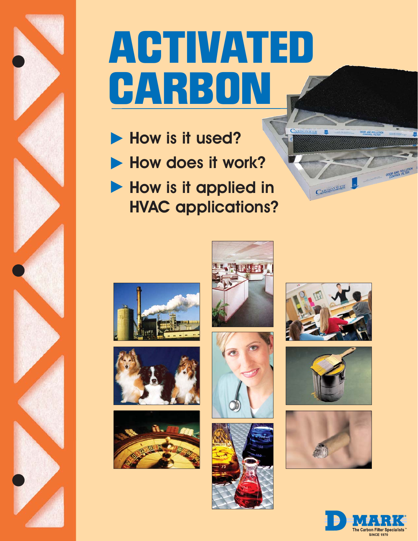

# **ACTIVATED CARBON**

- How is it used?
- How does it work?
- How is it applied in HVAC applications?





















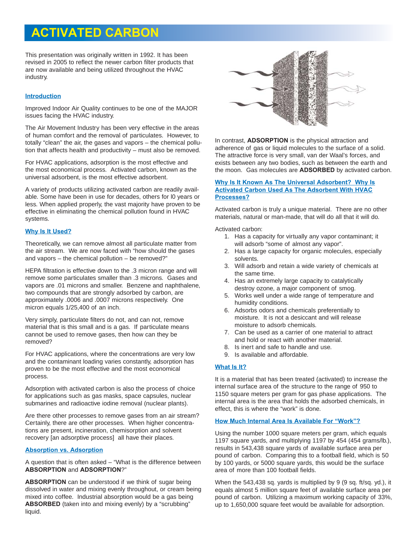# **ACTIVATED CARBON**

This presentation was originally written in 1992. It has been revised in 2005 to reflect the newer carbon filter products that are now available and being utilized throughout the HVAC industry.

#### **Introduction**

Improved Indoor Air Quality continues to be one of the MAJOR issues facing the HVAC industry.

The Air Movement Industry has been very effective in the areas of human comfort and the removal of particulates. However, to totally "clean" the air, the gases and vapors – the chemical pollution that affects health and productivity – must also be removed.

For HVAC applications, adsorption is the most effective and the most economical process. Activated carbon, known as the universal adsorbent, is the most effective adsorbent.

A variety of products utilizing activated carbon are readily available. Some have been in use for decades, others for l0 years or less. When applied properly, the vast majority have proven to be effective in eliminating the chemical pollution found in HVAC systems.

#### **Why Is It Used?**

Theoretically, we can remove almost all particulate matter from the air stream. We are now faced with "how should the gases and vapors – the chemical pollution – be removed?"

HEPA filtration is effective down to the .3 micron range and will remove some particulates smaller than .3 microns. Gases and vapors are .01 microns and smaller. Benzene and naphthalene, two compounds that are strongly adsorbed by carbon, are approximately .0006 and .0007 microns respectively. One micron equals 1/25,400 of an inch.

Very simply, particulate filters do not, and can not, remove material that is this small and is a gas. If particulate means cannot be used to remove gases, then how can they be removed?

For HVAC applications, where the concentrations are very low and the contaminant loading varies constantly, adsorption has proven to be the most effective and the most economical process.

Adsorption with activated carbon is also the process of choice for applications such as gas masks, space capsules, nuclear submarines and radioactive iodine removal (nuclear plants).

Are there other processes to remove gases from an air stream? Certainly, there are other processes. When higher concentrations are present, incineration, chemisorption and solvent recovery [an adsorptive process] all have their places.

#### **Absorption vs. Adsorption**

A question that is often asked – "What is the difference between **ABSORPTION** and **ADSORPTION**?"

**ABSORPTION** can be understood if we think of sugar being dissolved in water and mixing evenly throughout, or cream being mixed into coffee. Industrial absorption would be a gas being **ABSORBED** (taken into and mixing evenly) by a "scrubbing" liquid.



In contrast, **ADSORPTION** is the physical attraction and adherence of gas or liquid molecules to the surface of a solid. The attractive force is very small, van der Waal's forces, and exists between any two bodies, such as between the earth and the moon. Gas molecules are **ADSORBED** by activated carbon.

#### **Why Is It Known As The Universal Adsorbent? Why Is Activated Carbon Used As The Adsorbent With HVAC Processes?**

Activated carbon is truly a unique material. There are no other materials, natural or man-made, that will do all that it will do.

Activated carbon:

- 1. Has a capacity for virtually any vapor contaminant; it will adsorb "some of almost any vapor".
- 2. Has a large capacity for organic molecules, especially solvents.
- 3. Will adsorb and retain a wide variety of chemicals at the same time.
- 4. Has an extremely large capacity to catalytically destroy ozone, a major component of smog.
- 5. Works well under a wide range of temperature and humidity conditions.
- 6. Adsorbs odors and chemicals preferentially to moisture. It is not a desiccant and will release moisture to adsorb chemicals.
- 7. Can be used as a carrier of one material to attract and hold or react with another material.
- 8. Is inert and safe to handle and use.
- 9. Is available and affordable.

#### **What Is It?**

It is a material that has been treated (activated) to increase the internal surface area of the structure to the range of 950 to 1150 square meters per gram for gas phase applications. The internal area is the area that holds the adsorbed chemicals, in effect, this is where the "work" is done.

# **How Much Internal Area Is Available For "Work"?**

Using the number 1000 square meters per gram, which equals 1197 square yards, and multiplying 1197 by 454 (454 grams/lb.), results in 543,438 square yards of available surface area per pound of carbon. Comparing this to a football field, which is 50 by 100 yards, or 5000 square yards, this would be the surface area of more than 100 football fields.

When the 543,438 sq. yards is multiplied by 9 (9 sq. ft/sq. yd.), it equals almost 5 million square feet of available surface area per pound of carbon. Utilizing a maximum working capacity of 33%, up to 1,650,000 square feet would be available for adsorption.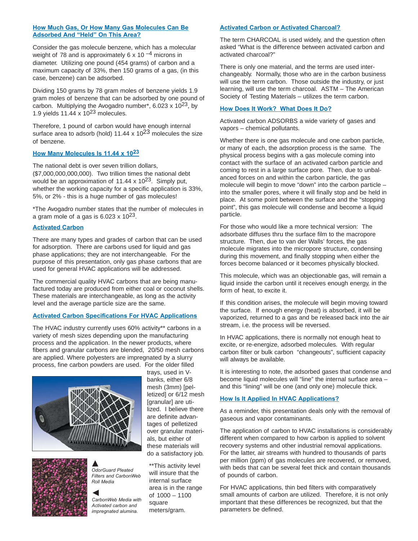#### **How Much Gas, Or How Many Gas Molecules Can Be Adsorbed And "Held" On This Area?**

Consider the gas molecule benzene, which has a molecular weight of 78 and is approximately 6 x 10 $-4$  microns in diameter. Utilizing one pound (454 grams) of carbon and a maximum capacity of 33%, then 150 grams of a gas, (in this case, benzene) can be adsorbed.

Dividing 150 grams by 78 gram moles of benzene yields 1.9 gram moles of benzene that can be adsorbed by one pound of carbon. Multiplying the Avogadro number\*, 6.023 x 10<sup>23</sup>, by 1.9 yields  $11.44 \times 10^{23}$  molecules.

Therefore, 1 pound of carbon would have enough internal surface area to adsorb (hold)  $11.44 \times 10^{23}$  molecules the size of benzene.

#### **How Many Molecules Is 11.44 x 1023**

The national debt is over seven trillion dollars, (\$7,000,000,000,000). Two trillion times the national debt would be an approximation of  $11.44 \times 10^{23}$ . Simply put, whether the working capacity for a specific application is 33%, 5%, or 2% - this is a huge number of gas molecules!

\*The Avogadro number states that the number of molecules in a gram mole of a gas is  $6.023 \times 10^{23}$ .

## **Activated Carbon**

There are many types and grades of carbon that can be used for adsorption. There are carbons used for liquid and gas phase applications; they are not interchangeable. For the purpose of this presentation, only gas phase carbons that are used for general HVAC applications will be addressed.

The commercial quality HVAC carbons that are being manufactured today are produced from either coal or coconut shells. These materials are interchangeable, as long as the activity level and the average particle size are the same.

# **Activated Carbon Specifications For HVAC Applications**

The HVAC industry currently uses 60% activity\*\* carbons in a variety of mesh sizes depending upon the manufacturing process and the application. In the newer products, where fibers and granular carbons are blended, 20/50 mesh carbons are applied. Where polyesters are impregnated by a slurry process, fine carbon powders are used. For the older filled





*OdorGuard Pleated Filters and CarbonWeb Roll Media*

*CarbonWeb Media with Activated carbon and impregnated alumina.*

trays, used in Vbanks, either 6/8 mesh (3mm) [pelletized] or 6/12 mesh [granular] are utilized. I believe there are definite advantages of pelletized over granular materials, but either of these materials will do a satisfactory job.

\*\*This activity level will insure that the internal surface area is in the range of 1000 – 1100 square meters/gram.

#### **Activated Carbon or Activated Charcoal?**

The term CHARCOAL is used widely, and the question often asked "What is the difference between activated carbon and activated charcoal?"

There is only one material, and the terms are used interchangeably. Normally, those who are in the carbon business will use the term carbon. Those outside the industry, or just learning, will use the term charcoal. ASTM – The American Society of Testing Materials – utilizes the term carbon.

# **How Does It Work? What Does It Do?**

Activated carbon ADSORBS a wide variety of gases and vapors – chemical pollutants.

Whether there is one gas molecule and one carbon particle, or many of each, the adsorption process is the same. The physical process begins with a gas molecule coming into contact with the surface of an activated carbon particle and coming to rest in a large surface pore. Then, due to unbalanced forces on and within the carbon particle, the gas molecule will begin to move "down" into the carbon particle – into the smaller pores, where it will finally stop and be held in place. At some point between the surface and the "stopping point", this gas molecule will condense and become a liquid particle.

For those who would like a more technical version: The adsorbate diffuses thru the surface film to the macropore structure. Then, due to van der Walls' forces, the gas molecule migrates into the micropore structure, condensing during this movement, and finally stopping when either the forces become balanced or it becomes physically blocked.

This molecule, which was an objectionable gas, will remain a liquid inside the carbon until it receives enough energy, in the form of heat, to excite it.

If this condition arises, the molecule will begin moving toward the surface. If enough energy (heat) is absorbed, it will be vaporized, returned to a gas and be released back into the air stream, i.e. the process will be reversed.

In HVAC applications, there is normally not enough heat to excite, or re-energize, adsorbed molecules. With regular carbon filter or bulk carbon "changeouts", sufficient capacity will always be available.

It is interesting to note, the adsorbed gases that condense and become liquid molecules will "line" the internal surface area – and this "lining" will be one (and only one) molecule thick.

#### **How Is It Applied In HVAC Applications?**

As a reminder, this presentation deals only with the removal of gaseous and vapor contaminants.

The application of carbon to HVAC installations is considerably different when compared to how carbon is applied to solvent recovery systems and other industrial removal applications. For the latter, air streams with hundred to thousands of parts per million (ppm) of gas molecules are recovered, or removed, with beds that can be several feet thick and contain thousands of pounds of carbon.

For HVAC applications, thin bed filters with comparatively small amounts of carbon are utilized. Therefore, it is not only important that these differences be recognized, but that the parameters be defined.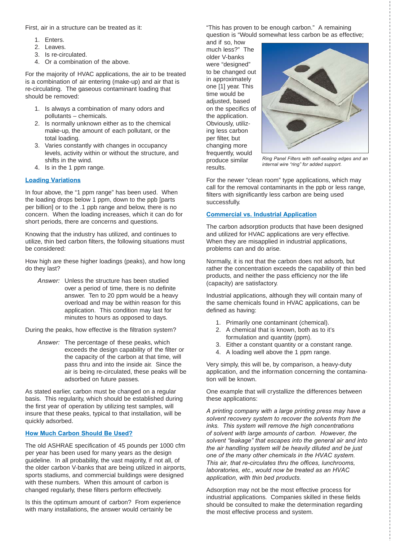First, air in a structure can be treated as it:

- 1. Enters.
- 2. Leaves.
- 3. Is re-circulated.
- 4. Or a combination of the above.

For the majority of HVAC applications, the air to be treated is a combination of air entering (make-up) and air that is re-circulating. The gaseous contaminant loading that should be removed:

- 1. Is always a combination of many odors and pollutants – chemicals.
- 2. Is normally unknown either as to the chemical make-up, the amount of each pollutant, or the total loading.
- 3. Varies constantly with changes in occupancy levels, activity within or without the structure, and shifts in the wind.
- 4. Is in the 1 ppm range.

#### **Loading Variations**

In four above, the "1 ppm range" has been used. When the loading drops below 1 ppm, down to the ppb [parts per billion] or to the .1 ppb range and below, there is no concern. When the loading increases, which it can do for short periods, there are concerns and questions.

Knowing that the industry has utilized, and continues to utilize, thin bed carbon filters, the following situations must be considered:

How high are these higher loadings (peaks), and how long do they last?

*Answer:* Unless the structure has been studied over a period of time, there is no definite answer. Ten to 20 ppm would be a heavy overload and may be within reason for this application. This condition may last for minutes to hours as opposed to days.

During the peaks, how effective is the filtration system?

*Answer:* The percentage of these peaks, which exceeds the design capability of the filter or the capacity of the carbon at that time, will pass thru and into the inside air. Since the air is being re-circulated, these peaks will be adsorbed on future passes.

As stated earlier, carbon must be changed on a regular basis. This regularity, which should be established during the first year of operation by utilizing test samples, will insure that these peaks, typical to that installation, will be quickly adsorbed.

#### **How Much Carbon Should Be Used?**

The old ASHRAE specification of 45 pounds per 1000 cfm per year has been used for many years as the design guideline. In all probability, the vast majority, if not all, of the older carbon V-banks that are being utilized in airports, sports stadiums, and commercial buildings were designed with these numbers. When this amount of carbon is changed regularly, these filters perform effectively.

Is this the optimum amount of carbon? From experience with many installations, the answer would certainly be

"This has proven to be enough carbon." A remaining question is "Would somewhat less carbon be as effective;

and if so, how much less?" The older V-banks were "designed" to be changed out in approximately one [1] year. This time would be adiusted, based on the specifics of the application. Obviously, utilizing less carbon per filter, but changing more frequently, would produce similar results.



*Ring Panel Filters with self-sealing edges and an internal wire "ring" for added support.*

For the newer "clean room" type applications, which may call for the removal contaminants in the ppb or less range, filters with significantly less carbon are being used successfully.

#### **Commercial vs. Industrial Application**

The carbon adsorption products that have been designed and utilized for HVAC applications are very effective. When they are misapplied in industrial applications, problems can and do arise.

Normally, it is not that the carbon does not adsorb, but rather the concentration exceeds the capability of thin bed products, and neither the pass efficiency nor the life (capacity) are satisfactory.

Industrial applications, although they will contain many of the same chemicals found in HVAC applications, can be defined as having:

- 1. Primarily one contaminant (chemical).
- 2. A chemical that is known, both as to it's formulation and quantity (ppm).
- 3. Either a constant quantity or a constant range.
- 4. A loading well above the 1 ppm range.

Very simply, this will be, by comparison, a heavy-duty application, and the information concerning the contamination will be known.

One example that will crystallize the differences between these applications:

*A printing company with a large printing press may have a solvent recovery system to recover the solvents from the inks. This system will remove the high concentrations of solvent with large amounts of carbon. However, the solvent "leakage" that escapes into the general air and into the air handling system will be heavily diluted and be just one of the many other chemicals in the HVAC system. This air, that re-circulates thru the offices, lunchrooms, laboratories, etc., would now be treated as an HVAC application, with thin bed products.*

Adsorption may not be the most effective process for industrial applications. Companies skilled in these fields should be consulted to make the determination regarding the most effective process and system.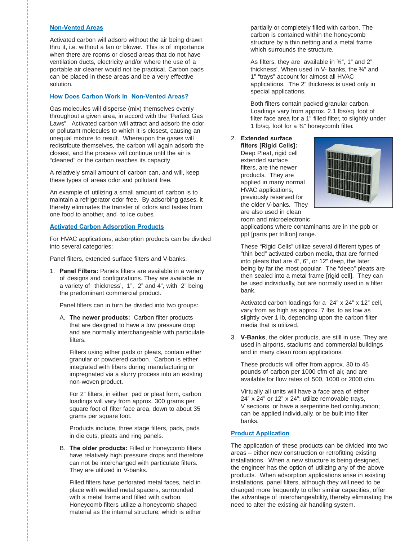## **Non-Vented Areas**

Activated carbon will adsorb without the air being drawn thru it, i.e. without a fan or blower. This is of importance when there are rooms or closed areas that do not have ventilation ducts, electricity and/or where the use of a portable air cleaner would not be practical. Carbon pads can be placed in these areas and be a very effective solution.

## **How Does Carbon Work in Non-Vented Areas?**

Gas molecules will disperse (mix) themselves evenly throughout a given area, in accord with the "Perfect Gas Laws". Activated carbon will attract and adsorb the odor or pollutant molecules to which it is closest, causing an unequal mixture to result. Whereupon the gases will redistribute themselves, the carbon will again adsorb the closest, and the process will continue until the air is "cleaned" or the carbon reaches its capacity.

A relatively small amount of carbon can, and will, keep these types of areas odor and pollutant free.

An example of utilizing a small amount of carbon is to maintain a refrigerator odor free. By adsorbing gases, it thereby eliminates the transfer of odors and tastes from one food to another, and to ice cubes.

#### **Activated Carbon Adsorption Products**

For HVAC applications, adsorption products can be divided into several categories:

Panel filters, extended surface filters and V-banks.

1. **Panel Filters:** Panels filters are available in a variety of designs and configurations. They are available in a variety of thickness', 1", 2" and 4", with 2" being the predominant commercial product.

Panel filters can in turn be divided into two groups:

A. **The newer products:** Carbon filter products that are designed to have a low pressure drop and are normally interchangeable with particulate filters.

Filters using either pads or pleats, contain either granular or powdered carbon. Carbon is either integrated with fibers during manufacturing or impregnated via a slurry process into an existing non-woven product.

For 2" filters, in either pad or pleat form, carbon loadings will vary from approx. 300 grams per square foot of filter face area, down to about 35 grams per square foot.

Products include, three stage filters, pads, pads in die cuts, pleats and ring panels.

B. **The older products:** Filled or honeycomb filters have relatively high pressure drops and therefore can not be interchanged with particulate filters. They are utilized in V-banks.

Filled filters have perforated metal faces, held in place with welded metal spacers, surrounded with a metal frame and filled with carbon. Honeycomb filters utilize a honeycomb shaped material as the internal structure, which is either partially or completely filled with carbon. The carbon is contained within the honeycomb structure by a thin netting and a metal frame which surrounds the structure.

As filters, they are available in ¾", 1" and 2" thickness'. When used in V- banks, the ¾" and 1" "trays" account for almost all HVAC applications. The 2" thickness is used only in special applications.

Both filters contain packed granular carbon. Loadings vary from approx. 2.1 lbs/sq. foot of filter face area for a 1" filled filter, to slightly under 1 lb/sq. foot for a  $\frac{3}{4}$ " honeycomb filter.

# 2. **Extended surface**

**filters [Rigid Cells]:**  Deep Pleat, rigid cell extended surface filters, are the newer products. They are applied in many normal HVAC applications, previously reserved for the older V-banks. They are also used in clean room and microelectronic



applications where contaminants are in the ppb or ppt [parts per trillion] range.

These "Rigid Cells" utilize several different types of "thin bed" activated carbon media, that are formed into pleats that are 4", 6", or 12" deep, the later being by far the most popular. The "deep" pleats are then sealed into a metal frame [rigid cell]. They can be used individually, but are normally used in a filter bank.

Activated carbon loadings for a 24" x 24" x 12" cell, vary from as high as approx. 7 lbs, to as low as slightly over 1 lb, depending upon the carbon filter media that is utilized.

3. **V-Banks**, the older products, are still in use. They are used in airports, stadiums and commercial buildings and in many clean room applications.

These products will offer from approx. 30 to 45 pounds of carbon per 1000 cfm of air, and are available for flow rates of 500, 1000 or 2000 cfm.

Virtually all units will have a face area of either 24" x 24" or 12" x 24"; utilize removable trays, V sections, or have a serpentine bed configuration; can be applied individually, or be built into filter banks.

# **Product Application**

The application of these products can be divided into two areas – either new construction or retrofitting existing installations. When a new structure is being designed, the engineer has the option of utilizing any of the above products. When adsorption applications arise in existing installations, panel filters, although they will need to be changed more frequently to offer similar capacities, offer the advantage of interchangeability, thereby eliminating the need to alter the existing air handling system.